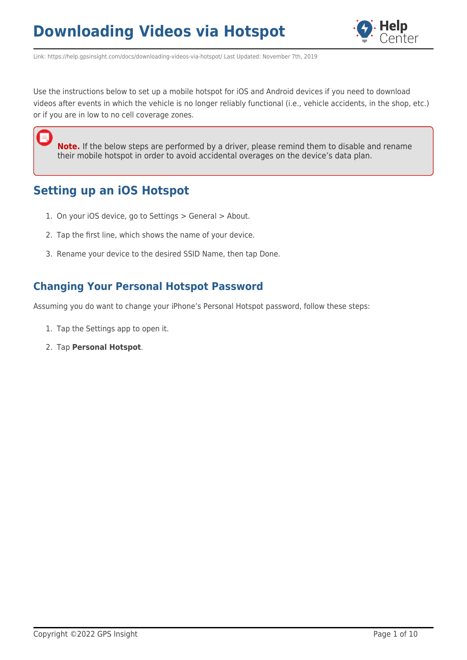

Link: https://help.gpsinsight.com/docs/downloading-videos-via-hotspot/ Last Updated: November 7th, 2019

Use the instructions below to set up a mobile hotspot for iOS and Android devices if you need to download videos after events in which the vehicle is no longer reliably functional (i.e., vehicle accidents, in the shop, etc.) or if you are in low to no cell coverage zones.

**Note.** If the below steps are performed by a driver, please remind them to disable and rename their mobile hotspot in order to avoid accidental overages on the device's data plan.

#### **Setting up an iOS Hotspot**

耳

- 1. On your iOS device, go to Settings > General > About.
- 2. Tap the first line, which shows the name of your device.
- 3. Rename your device to the desired SSID Name, then tap Done.

#### **Changing Your Personal Hotspot Password**

Assuming you do want to change your iPhone's Personal Hotspot password, follow these steps:

- 1. Tap the Settings app to open it.
- 2. Tap **Personal Hotspot**.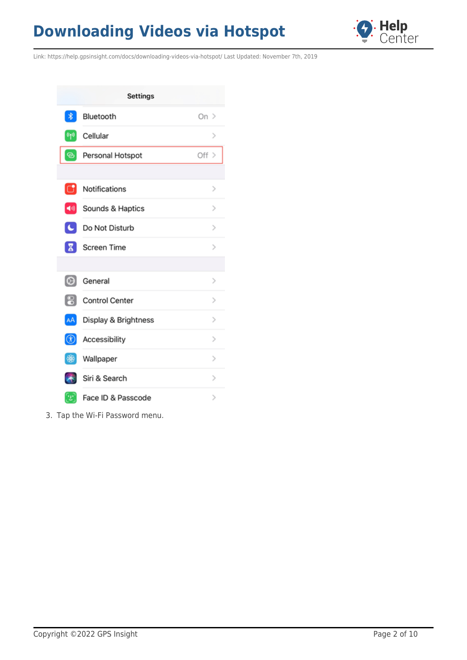

Link: https://help.gpsinsight.com/docs/downloading-videos-via-hotspot/ Last Updated: November 7th, 2019

|                                         | <b>Settings</b>       |               |
|-----------------------------------------|-----------------------|---------------|
| $\ast$                                  | Bluetooth             | On $>$        |
| $\left[ \mathbf{u}_{\mathbf{b}}\right]$ | Cellular              | $\geq$        |
| ⊛                                       | Personal Hotspot      | Off >         |
|                                         |                       |               |
| <b>Ci</b>                               | Notifications         | $\rm{>}$      |
| $\blacktriangleleft 0$                  | Sounds & Haptics      | $\geq$        |
| $\mathbf{C}$                            | Do Not Disturb        | $\,>\,$       |
| х                                       | Screen Time           | $\geq$        |
|                                         |                       |               |
| ⊙                                       | General               | $\geq$        |
| ខ                                       | <b>Control Center</b> | $\rm{>}$      |
| AA                                      | Display & Brightness  | ⋗             |
| ⊛                                       | Accessibility         | $\,>\,$       |
| ₩                                       | Wallpaper             | $\geq$        |
|                                         | Siri & Search         | $\geq$        |
| 21                                      | Face ID & Passcode    | $\mathcal{P}$ |

3. Tap the Wi-Fi Password menu.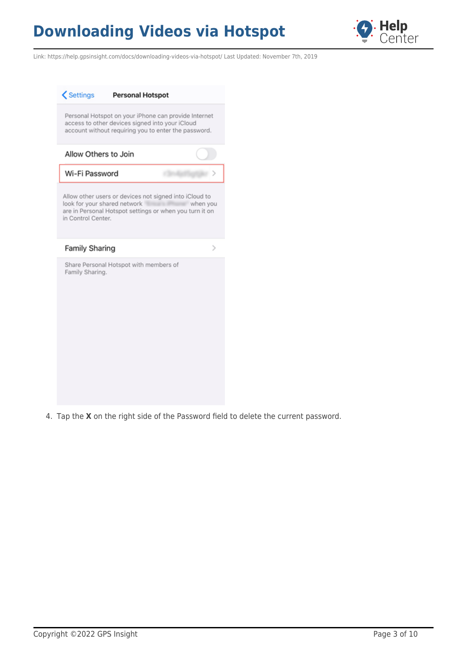

Link: https://help.gpsinsight.com/docs/downloading-videos-via-hotspot/ Last Updated: November 7th, 2019



4. Tap the **X** on the right side of the Password field to delete the current password.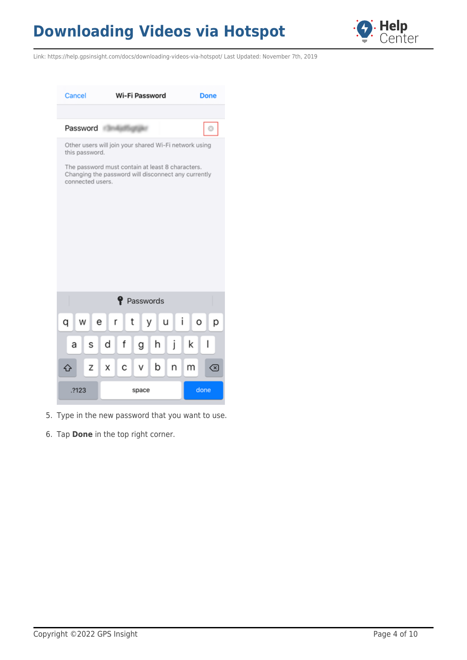

Link: https://help.gpsinsight.com/docs/downloading-videos-via-hotspot/ Last Updated: November 7th, 2019



- 5. Type in the new password that you want to use.
- 6. Tap **Done** in the top right corner.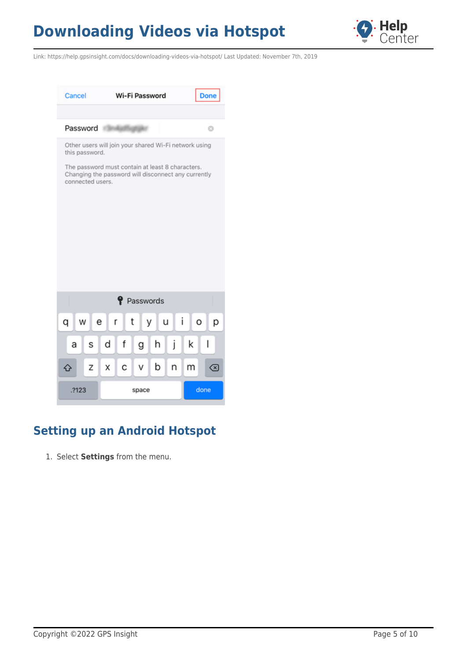

Link: https://help.gpsinsight.com/docs/downloading-videos-via-hotspot/ Last Updated: November 7th, 2019



### **Setting up an Android Hotspot**

1. Select **Settings** from the menu.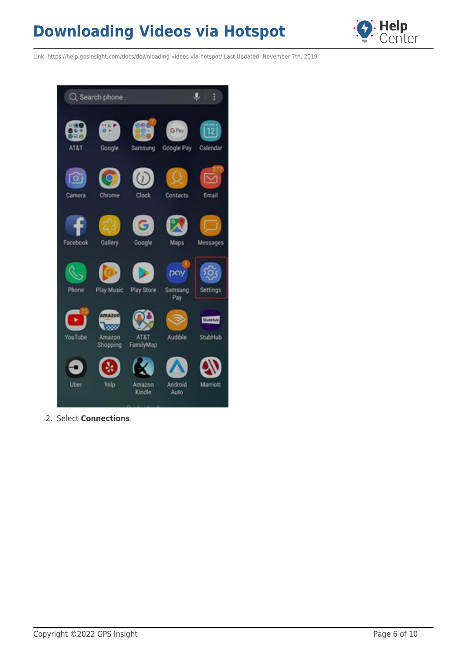

Link: https://help.gpsinsight.com/docs/downloading-videos-via-hotspot/ Last Updated: November 7th, 2019



2. Select **Connections**.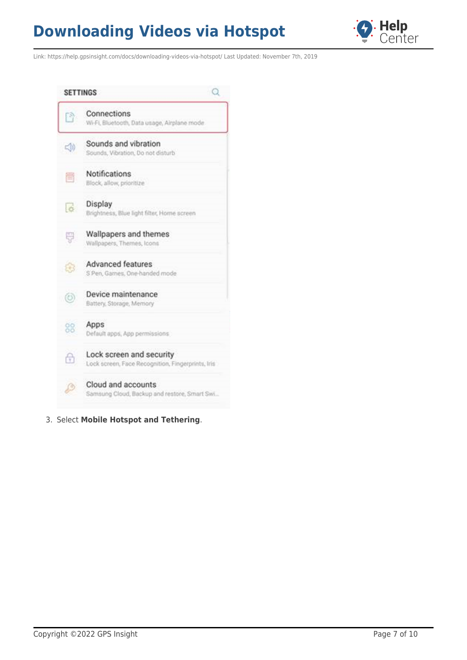

Link: https://help.gpsinsight.com/docs/downloading-videos-via-hotspot/ Last Updated: November 7th, 2019



3. Select **Mobile Hotspot and Tethering**.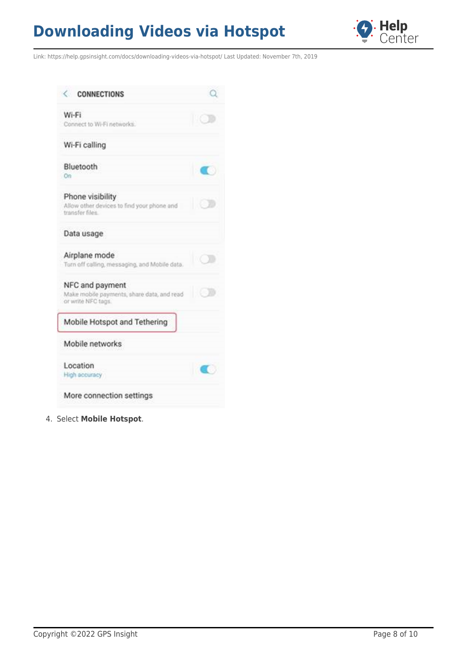

Link: https://help.gpsinsight.com/docs/downloading-videos-via-hotspot/ Last Updated: November 7th, 2019

| <b>CONNECTIONS</b>                                                                  |     |
|-------------------------------------------------------------------------------------|-----|
| Wi-Fi<br>Connect to Wi-Fi networks.                                                 |     |
| Wi-Fi calling                                                                       |     |
| Bluetooth<br>On                                                                     |     |
| Phone visibility<br>Allow other devices to find your phone and<br>transfer files.   |     |
| Data usage                                                                          |     |
| Airplane mode<br>Turn off calling, messaging, and Mobile data.                      |     |
| NFC and payment<br>Make mobile payments, share data, and read<br>or write NFC tags. | 不安的 |
| Mobile Hotspot and Tethering                                                        |     |
| Mobile networks                                                                     |     |
| Location<br>High accuracy                                                           |     |
| More connection settings                                                            |     |

4. Select **Mobile Hotspot**.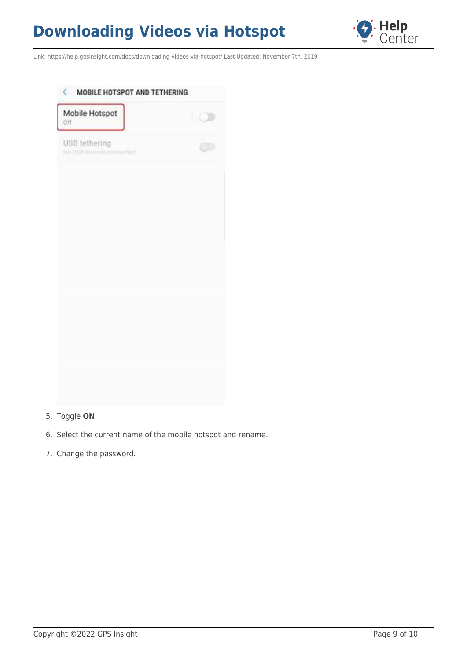

Link: https://help.gpsinsight.com/docs/downloading-videos-via-hotspot/ Last Updated: November 7th, 2019

| Mobile Hotspot<br><b>Off</b>             | IIO |
|------------------------------------------|-----|
| USB tethering<br>No USB devices commeded |     |
|                                          |     |
|                                          |     |
|                                          |     |
|                                          |     |
|                                          |     |
|                                          |     |
|                                          |     |
|                                          |     |
|                                          |     |
|                                          |     |

#### 5. Toggle **ON**.

- 6. Select the current name of the mobile hotspot and rename.
- 7. Change the password.